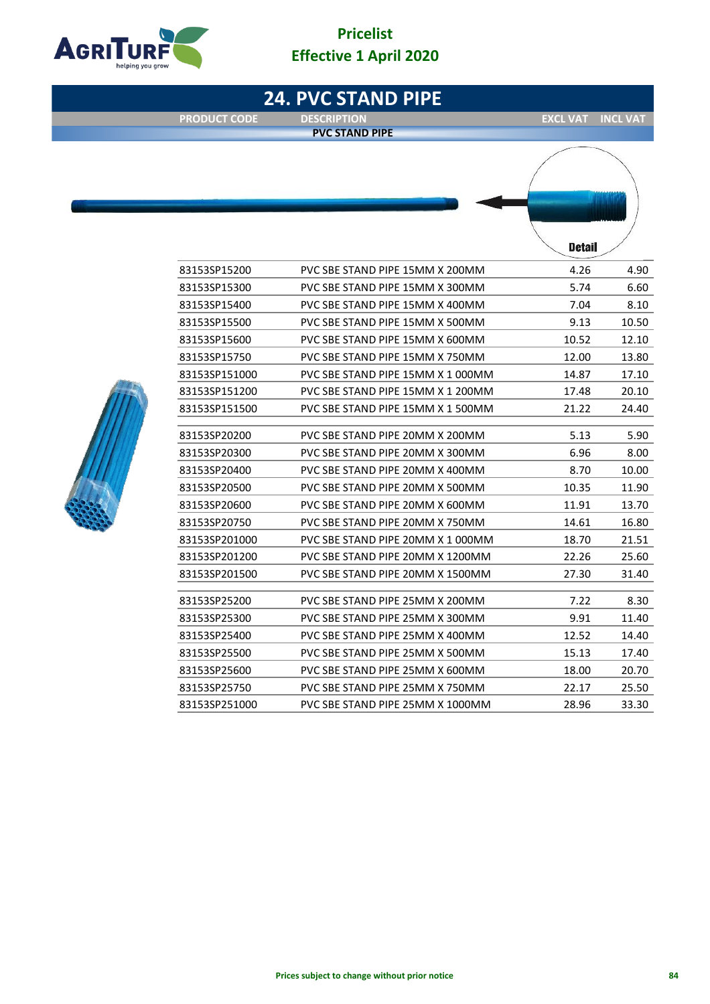# **Pricelist Effective 1 April 2020**



**24. PVC STAND PIPE**

**PVC STAND PIPE**

**PRODUCT CODE DESCRIPTION DESCRIPTION EXCL VAT INCL VAT** 





|               |                                   | petall |       |
|---------------|-----------------------------------|--------|-------|
| 83153SP15200  | PVC SBE STAND PIPE 15MM X 200MM   | 4.26   | 4.90  |
| 83153SP15300  | PVC SBE STAND PIPE 15MM X 300MM   | 5.74   | 6.60  |
| 83153SP15400  | PVC SBE STAND PIPE 15MM X 400MM   | 7.04   | 8.10  |
| 83153SP15500  | PVC SBE STAND PIPE 15MM X 500MM   | 9.13   | 10.50 |
| 83153SP15600  | PVC SBE STAND PIPE 15MM X 600MM   | 10.52  | 12.10 |
| 83153SP15750  | PVC SBE STAND PIPE 15MM X 750MM   | 12.00  | 13.80 |
| 83153SP151000 | PVC SBE STAND PIPE 15MM X 1 000MM | 14.87  | 17.10 |
| 83153SP151200 | PVC SBE STAND PIPE 15MM X 1 200MM | 17.48  | 20.10 |
| 83153SP151500 | PVC SBE STAND PIPE 15MM X 1 500MM | 21.22  | 24.40 |
| 83153SP20200  | PVC SBE STAND PIPE 20MM X 200MM   | 5.13   | 5.90  |
| 83153SP20300  | PVC SBE STAND PIPE 20MM X 300MM   | 6.96   | 8.00  |
| 83153SP20400  | PVC SBE STAND PIPE 20MM X 400MM   | 8.70   | 10.00 |
| 83153SP20500  | PVC SBE STAND PIPE 20MM X 500MM   | 10.35  | 11.90 |
| 83153SP20600  | PVC SBE STAND PIPE 20MM X 600MM   | 11.91  | 13.70 |
| 83153SP20750  | PVC SBE STAND PIPE 20MM X 750MM   | 14.61  | 16.80 |
| 83153SP201000 | PVC SBE STAND PIPE 20MM X 1 000MM | 18.70  | 21.51 |
| 83153SP201200 | PVC SBE STAND PIPE 20MM X 1200MM  | 22.26  | 25.60 |
| 83153SP201500 | PVC SBE STAND PIPE 20MM X 1500MM  | 27.30  | 31.40 |
| 83153SP25200  | PVC SBE STAND PIPE 25MM X 200MM   | 7.22   | 8.30  |
| 83153SP25300  | PVC SBE STAND PIPE 25MM X 300MM   | 9.91   | 11.40 |
| 83153SP25400  | PVC SBE STAND PIPE 25MM X 400MM   | 12.52  | 14.40 |
| 83153SP25500  | PVC SBE STAND PIPE 25MM X 500MM   | 15.13  | 17.40 |
| 83153SP25600  | PVC SBE STAND PIPE 25MM X 600MM   | 18.00  | 20.70 |
| 83153SP25750  | PVC SBE STAND PIPE 25MM X 750MM   | 22.17  | 25.50 |
| 83153SP251000 | PVC SBE STAND PIPE 25MM X 1000MM  | 28.96  | 33.30 |